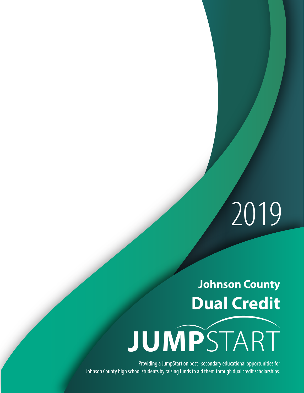# 2019

## **Johnson County Dual Credit**



Providing a JumpStart on post–secondary educational opportunities for Johnson County high school students by raising funds to aid them through dual credit scholarships.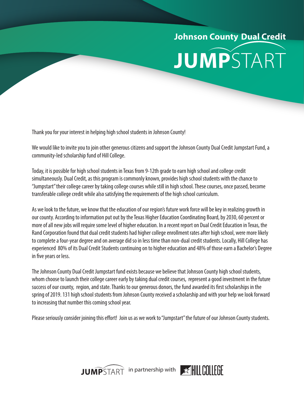# **Johnson County Dual Credit JUMP**START

Thank you for your interest in helping high school students in Johnson County!

We would like to invite you to join other generous citizens and support the Johnson County Dual Credit Jumpstart Fund, a community-led scholarship fund of Hill College.

Today, it is possible for high school students in Texas from 9-12th grade to earn high school and college credit simultaneously. Dual Credit, as this program is commonly known, provides high school students with the chance to "Jumpstart" their college career by taking college courses while still in high school. These courses, once passed, become transferable college credit while also satisfying the requirements of the high school curriculum.

As we look to the future, we know that the education of our region's future work force will be key in realizing growth in our county. According to information put out by the Texas Higher Education Coordinating Board, by 2030, 60 percent or more of all new jobs will require some level of higher education. In a recent report on Dual Credit Education in Texas, the Rand Corporation found that dual credit students had higher college enrollment rates after high school, were more likely to complete a four-year degree and on average did so in less time than non-dual credit students. Locally, Hill College has experienced 80% of its Dual Credit Students continuing on to higher education and 48% of those earn a Bachelor's Degree in five years or less.

The Johnson County Dual Credit Jumpstart fund exists because we believe that Johnson County high school students, whom choose to launch their college career early by taking dual credit courses, represent a good investment in the future success of our county, region, and state. Thanks to our generous donors, the fund awarded its first scholarships in the spring of 2019. 131 high school students from Johnson County received a scholarship and with your help we look forward to increasing that number this coming school year.

Please seriously consider joining this effort! Join us as we work to "Jumpstart" the future of our Johnson County students.